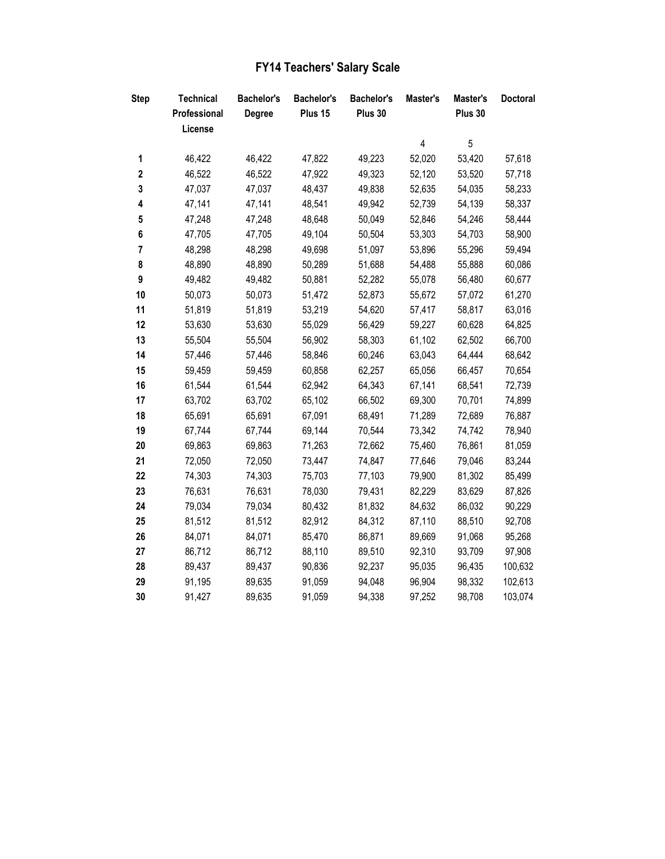| <b>FY14 Teachers' Salary Scale</b> |  |
|------------------------------------|--|
|                                    |  |

| <b>Step</b>      | <b>Technical</b> | <b>Bachelor's</b> | <b>Bachelor's</b> | <b>Bachelor's</b> | Master's | Master's | <b>Doctoral</b> |
|------------------|------------------|-------------------|-------------------|-------------------|----------|----------|-----------------|
|                  | Professional     | <b>Degree</b>     | Plus 15           | Plus 30           |          | Plus 30  |                 |
|                  | License          |                   |                   |                   |          |          |                 |
|                  |                  |                   |                   |                   | 4        | 5        |                 |
| 1                | 46,422           | 46,422            | 47,822            | 49,223            | 52,020   | 53,420   | 57,618          |
| $\boldsymbol{2}$ | 46,522           | 46,522            | 47,922            | 49,323            | 52,120   | 53,520   | 57,718          |
| 3                | 47,037           | 47,037            | 48,437            | 49,838            | 52,635   | 54,035   | 58,233          |
| 4                | 47,141           | 47,141            | 48,541            | 49,942            | 52,739   | 54,139   | 58,337          |
| 5                | 47,248           | 47,248            | 48,648            | 50,049            | 52,846   | 54,246   | 58,444          |
| 6                | 47,705           | 47,705            | 49,104            | 50,504            | 53,303   | 54,703   | 58,900          |
| $\overline{7}$   | 48,298           | 48,298            | 49,698            | 51,097            | 53,896   | 55,296   | 59,494          |
| 8                | 48,890           | 48,890            | 50,289            | 51,688            | 54,488   | 55,888   | 60,086          |
| 9                | 49,482           | 49,482            | 50,881            | 52,282            | 55,078   | 56,480   | 60,677          |
| 10               | 50,073           | 50,073            | 51,472            | 52,873            | 55,672   | 57,072   | 61,270          |
| 11               | 51,819           | 51,819            | 53,219            | 54,620            | 57,417   | 58,817   | 63,016          |
| 12               | 53,630           | 53,630            | 55,029            | 56,429            | 59,227   | 60,628   | 64,825          |
| 13               | 55,504           | 55,504            | 56,902            | 58,303            | 61,102   | 62,502   | 66,700          |
| 14               | 57,446           | 57,446            | 58,846            | 60,246            | 63,043   | 64,444   | 68,642          |
| 15               | 59,459           | 59,459            | 60,858            | 62,257            | 65,056   | 66,457   | 70,654          |
| 16               | 61,544           | 61,544            | 62,942            | 64,343            | 67,141   | 68,541   | 72,739          |
| 17               | 63,702           | 63,702            | 65,102            | 66,502            | 69,300   | 70,701   | 74,899          |
| 18               | 65,691           | 65,691            | 67,091            | 68,491            | 71,289   | 72,689   | 76,887          |
| 19               | 67,744           | 67,744            | 69,144            | 70,544            | 73,342   | 74,742   | 78,940          |
| 20               | 69,863           | 69,863            | 71,263            | 72,662            | 75,460   | 76,861   | 81,059          |
| 21               | 72,050           | 72,050            | 73,447            | 74,847            | 77,646   | 79,046   | 83,244          |
| 22               | 74,303           | 74,303            | 75,703            | 77,103            | 79,900   | 81,302   | 85,499          |
| 23               | 76,631           | 76,631            | 78,030            | 79,431            | 82,229   | 83,629   | 87,826          |
| 24               | 79,034           | 79,034            | 80,432            | 81,832            | 84,632   | 86,032   | 90,229          |
| 25               | 81,512           | 81,512            | 82,912            | 84,312            | 87,110   | 88,510   | 92,708          |
| 26               | 84,071           | 84,071            | 85,470            | 86,871            | 89,669   | 91,068   | 95,268          |
| 27               | 86,712           | 86,712            | 88,110            | 89,510            | 92,310   | 93,709   | 97,908          |
| 28               | 89,437           | 89,437            | 90,836            | 92,237            | 95,035   | 96,435   | 100,632         |
| 29               | 91,195           | 89,635            | 91,059            | 94,048            | 96,904   | 98,332   | 102,613         |
| 30               | 91,427           | 89,635            | 91,059            | 94,338            | 97,252   | 98,708   | 103,074         |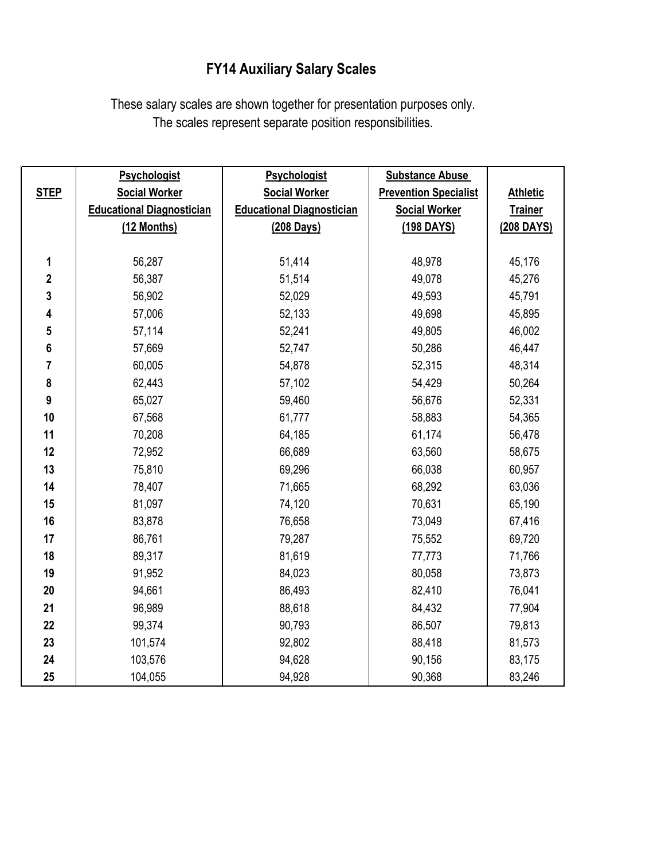## **FY14 Auxiliary Salary Scales**

These salary scales are shown together for presentation purposes only. The scales represent separate position responsibilities.

|              | <b>Psychologist</b>              | <b>Psychologist</b>              | <b>Substance Abuse</b>       |                 |  |
|--------------|----------------------------------|----------------------------------|------------------------------|-----------------|--|
| <b>STEP</b>  | <b>Social Worker</b>             | <b>Social Worker</b>             | <b>Prevention Specialist</b> | <b>Athletic</b> |  |
|              | <b>Educational Diagnostician</b> | <b>Educational Diagnostician</b> | <b>Social Worker</b>         | <b>Trainer</b>  |  |
|              | (12 Months)                      | (208 Days)                       | (198 DAYS)                   | (208 DAYS)      |  |
|              |                                  |                                  |                              |                 |  |
| 1            | 56,287                           | 51,414                           | 48,978                       | 45,176          |  |
| $\mathbf{2}$ | 56,387                           | 51,514                           | 49,078                       | 45,276          |  |
| 3            | 56,902                           | 52,029                           | 49,593                       | 45,791          |  |
| 4            | 57,006                           | 52,133                           | 49,698                       | 45,895          |  |
| 5            | 57,114                           | 52,241                           | 49,805                       | 46,002          |  |
| 6            | 57,669                           | 52,747                           | 50,286                       | 46,447          |  |
| 7            | 60,005                           | 54,878                           | 52,315                       | 48,314          |  |
| 8            | 62,443                           | 57,102                           | 54,429                       | 50,264          |  |
| 9            | 65,027                           | 59,460                           | 56,676                       | 52,331          |  |
| 10           | 67,568                           | 61,777                           | 58,883                       | 54,365          |  |
| 11           | 70,208                           | 64,185                           | 61,174                       | 56,478          |  |
| 12           | 72,952                           | 66,689                           | 63,560                       | 58,675          |  |
| 13           | 75,810                           | 69,296                           | 66,038                       | 60,957          |  |
| 14           | 78,407                           | 71,665                           | 68,292                       | 63,036          |  |
| 15           | 81,097                           | 74,120                           | 70,631                       | 65,190          |  |
| 16           | 83,878                           | 76,658                           | 73,049                       | 67,416          |  |
| 17           | 86,761                           | 79,287                           | 75,552                       | 69,720          |  |
| 18           | 89,317                           | 81,619                           | 77,773                       | 71,766          |  |
| 19           | 91,952                           | 84,023                           | 80,058                       | 73,873          |  |
| 20           | 94,661                           | 86,493                           | 82,410                       | 76,041          |  |
| 21           | 96,989                           | 88,618                           | 84,432                       | 77,904          |  |
| 22           | 99,374                           | 90,793                           | 86,507                       | 79,813          |  |
| 23           | 101,574                          | 92,802                           | 88,418                       | 81,573          |  |
| 24           | 103,576                          | 94,628                           | 90,156                       | 83,175          |  |
| 25           | 104,055                          | 94,928                           | 90,368                       | 83,246          |  |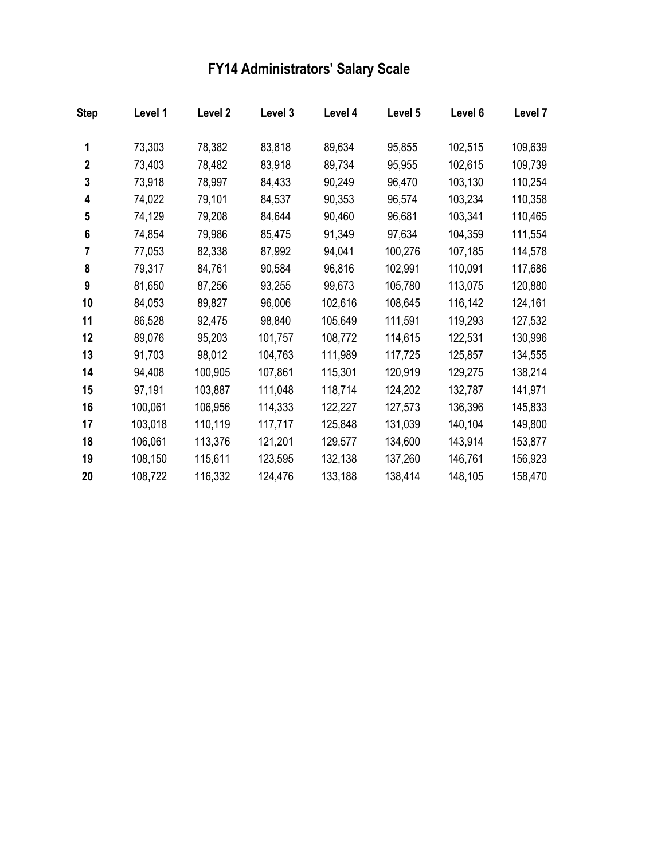## **FY14 Administrators' Salary Scale**

| <b>Step</b>  | Level 1 | Level 2 | Level 3 | Level 4 | Level 5 | Level 6 | Level 7 |
|--------------|---------|---------|---------|---------|---------|---------|---------|
| 1            | 73,303  | 78,382  | 83,818  | 89,634  | 95,855  | 102,515 | 109,639 |
| $\mathbf{2}$ | 73,403  | 78,482  | 83,918  | 89,734  | 95,955  | 102,615 | 109,739 |
| 3            | 73,918  | 78,997  | 84,433  | 90,249  | 96,470  | 103,130 | 110,254 |
| 4            | 74,022  | 79,101  | 84,537  | 90,353  | 96,574  | 103,234 | 110,358 |
| 5            | 74,129  | 79,208  | 84,644  | 90,460  | 96,681  | 103,341 | 110,465 |
| 6            | 74,854  | 79,986  | 85,475  | 91,349  | 97,634  | 104,359 | 111,554 |
| 7            | 77,053  | 82,338  | 87,992  | 94,041  | 100,276 | 107,185 | 114,578 |
| 8            | 79,317  | 84,761  | 90,584  | 96,816  | 102,991 | 110,091 | 117,686 |
| 9            | 81,650  | 87,256  | 93,255  | 99,673  | 105,780 | 113,075 | 120,880 |
| 10           | 84,053  | 89,827  | 96,006  | 102,616 | 108,645 | 116,142 | 124,161 |
| 11           | 86,528  | 92,475  | 98,840  | 105,649 | 111,591 | 119,293 | 127,532 |
| 12           | 89,076  | 95,203  | 101,757 | 108,772 | 114,615 | 122,531 | 130,996 |
| 13           | 91,703  | 98,012  | 104,763 | 111,989 | 117,725 | 125,857 | 134,555 |
| 14           | 94,408  | 100,905 | 107,861 | 115,301 | 120,919 | 129,275 | 138,214 |
| 15           | 97,191  | 103,887 | 111,048 | 118,714 | 124,202 | 132,787 | 141,971 |
| 16           | 100,061 | 106,956 | 114,333 | 122,227 | 127,573 | 136,396 | 145,833 |
| 17           | 103,018 | 110,119 | 117,717 | 125,848 | 131,039 | 140,104 | 149,800 |
| 18           | 106,061 | 113,376 | 121,201 | 129,577 | 134,600 | 143,914 | 153,877 |
| 19           | 108,150 | 115,611 | 123,595 | 132,138 | 137,260 | 146,761 | 156,923 |
| 20           | 108,722 | 116,332 | 124,476 | 133,188 | 138,414 | 148,105 | 158,470 |